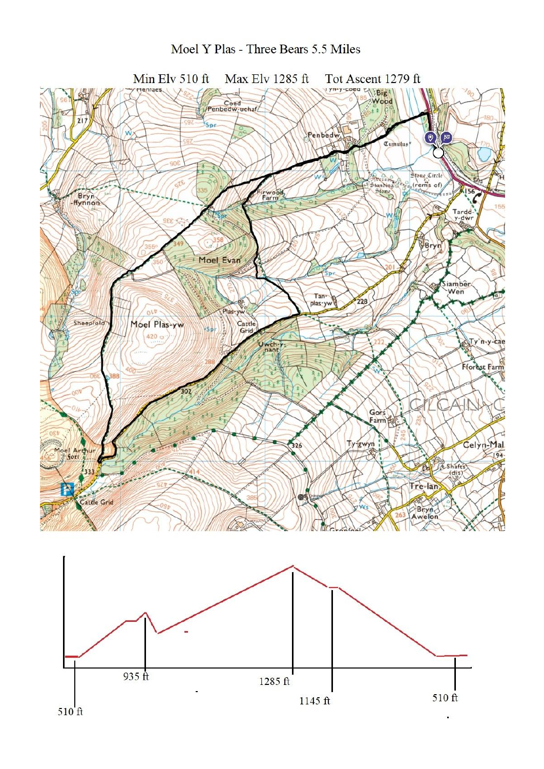